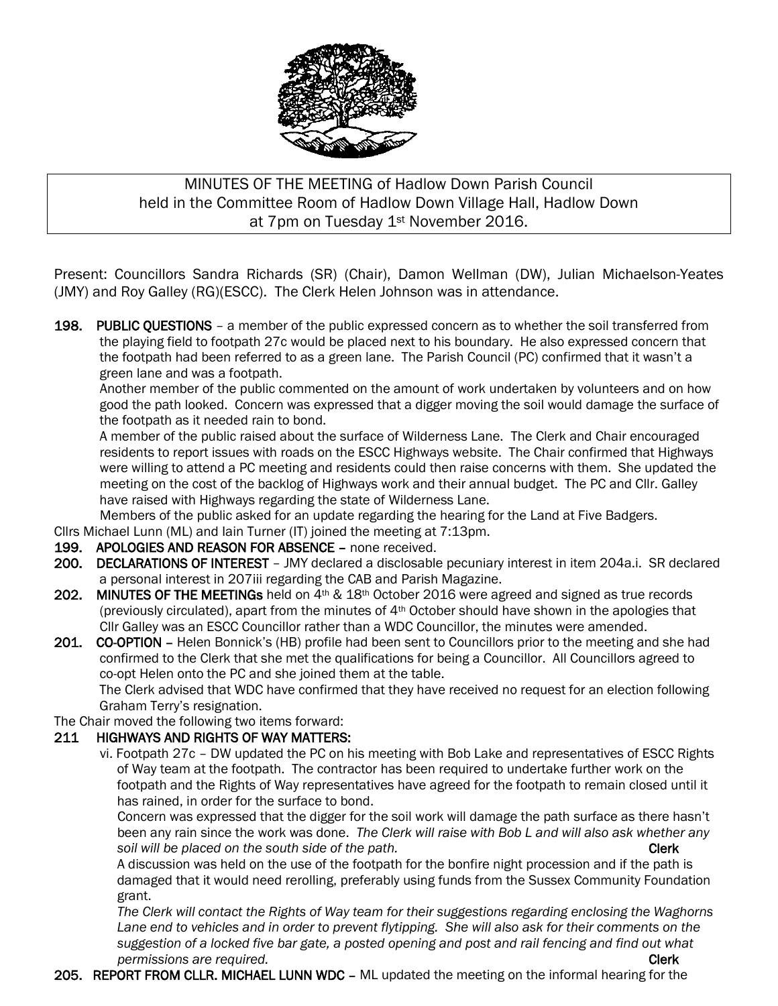

## MINUTES OF THE MEETING of Hadlow Down Parish Council held in the Committee Room of Hadlow Down Village Hall, Hadlow Down at 7pm on Tuesday 1st November 2016.

Present: Councillors Sandra Richards (SR) (Chair), Damon Wellman (DW), Julian Michaelson-Yeates (JMY) and Roy Galley (RG)(ESCC). The Clerk Helen Johnson was in attendance.

198. PUBLIC QUESTIONS – a member of the public expressed concern as to whether the soil transferred from the playing field to footpath 27c would be placed next to his boundary. He also expressed concern that the footpath had been referred to as a green lane. The Parish Council (PC) confirmed that it wasn't a green lane and was a footpath.

Another member of the public commented on the amount of work undertaken by volunteers and on how good the path looked. Concern was expressed that a digger moving the soil would damage the surface of the footpath as it needed rain to bond.

 A member of the public raised about the surface of Wilderness Lane. The Clerk and Chair encouraged residents to report issues with roads on the ESCC Highways website. The Chair confirmed that Highways were willing to attend a PC meeting and residents could then raise concerns with them. She updated the meeting on the cost of the backlog of Highways work and their annual budget. The PC and Cllr. Galley have raised with Highways regarding the state of Wilderness Lane.

Members of the public asked for an update regarding the hearing for the Land at Five Badgers.

Cllrs Michael Lunn (ML) and Iain Turner (IT) joined the meeting at 7:13pm.

- 199. APOLOGIES AND REASON FOR ABSENCE none received.
- 200. DECLARATIONS OF INTEREST JMY declared a disclosable pecuniary interest in item 204a.i. SR declared a personal interest in 207iii regarding the CAB and Parish Magazine.
- 202. MINUTES OF THE MEETINGs held on  $4th \& 18th$  October 2016 were agreed and signed as true records (previously circulated), apart from the minutes of  $4<sup>th</sup>$  October should have shown in the apologies that Cllr Galley was an ESCC Councillor rather than a WDC Councillor, the minutes were amended.
- 201. CO-OPTION Helen Bonnick's (HB) profile had been sent to Councillors prior to the meeting and she had confirmed to the Clerk that she met the qualifications for being a Councillor. All Councillors agreed to co-opt Helen onto the PC and she joined them at the table.

 The Clerk advised that WDC have confirmed that they have received no request for an election following Graham Terry's resignation.

The Chair moved the following two items forward:

#### 211 HIGHWAYS AND RIGHTS OF WAY MATTERS:

vi. Footpath 27c – DW updated the PC on his meeting with Bob Lake and representatives of ESCC Rights of Way team at the footpath. The contractor has been required to undertake further work on the footpath and the Rights of Way representatives have agreed for the footpath to remain closed until it has rained, in order for the surface to bond.

 Concern was expressed that the digger for the soil work will damage the path surface as there hasn't been any rain since the work was done. *The Clerk will raise with Bob L and will also ask whether any*  soil will be placed on the south side of the path. The south side of the path of the path of the path of the path

 A discussion was held on the use of the footpath for the bonfire night procession and if the path is damaged that it would need rerolling, preferably using funds from the Sussex Community Foundation grant.

 *The Clerk will contact the Rights of Way team for their suggestions regarding enclosing the Waghorns Lane end to vehicles and in order to prevent flytipping. She will also ask for their comments on the suggestion of a locked five bar gate, a posted opening and post and rail fencing and find out what permissions are required.* Clerk and *permissions are required.* 

205. REPORT FROM CLLR. MICHAEL LUNN WDC – ML updated the meeting on the informal hearing for the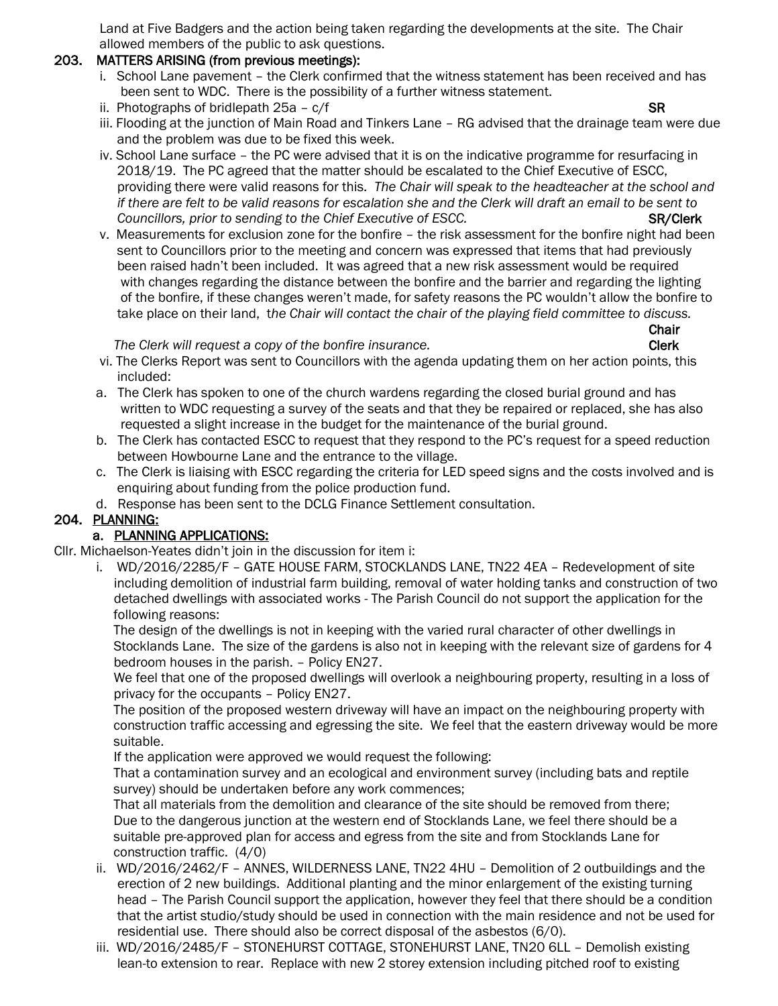Land at Five Badgers and the action being taken regarding the developments at the site. The Chair allowed members of the public to ask questions.

#### 203. MATTERS ARISING (from previous meetings):

- i. School Lane pavement the Clerk confirmed that the witness statement has been received and has been sent to WDC. There is the possibility of a further witness statement.
- ii. Photographs of bridlepath 25a  $c/f$  SR
- iii. Flooding at the junction of Main Road and Tinkers Lane RG advised that the drainage team were due and the problem was due to be fixed this week.
- iv. School Lane surface the PC were advised that it is on the indicative programme for resurfacing in 2018/19. The PC agreed that the matter should be escalated to the Chief Executive of ESCC, providing there were valid reasons for this. *The Chair will speak to the headteacher at the school and if there are felt to be valid reasons for escalation she and the Clerk will draft an email to be sent to Councillors, prior to sending to the Chief Executive of ESCC.* SR/Clerk
- v. Measurements for exclusion zone for the bonfire the risk assessment for the bonfire night had been sent to Councillors prior to the meeting and concern was expressed that items that had previously been raised hadn't been included. It was agreed that a new risk assessment would be required with changes regarding the distance between the bonfire and the barrier and regarding the lighting of the bonfire, if these changes weren't made, for safety reasons the PC wouldn't allow the bonfire to take place on their land, t*he Chair will contact the chair of the playing field committee to discuss.* **Chair**

The Clerk will request a copy of the bonfire insurance. The Clerk clerk contained the clerk

- 
- vi. The Clerks Report was sent to Councillors with the agenda updating them on her action points, this included:
- a. The Clerk has spoken to one of the church wardens regarding the closed burial ground and has written to WDC requesting a survey of the seats and that they be repaired or replaced, she has also requested a slight increase in the budget for the maintenance of the burial ground.
- b. The Clerk has contacted ESCC to request that they respond to the PC's request for a speed reduction between Howbourne Lane and the entrance to the village.
- c. The Clerk is liaising with ESCC regarding the criteria for LED speed signs and the costs involved and is enquiring about funding from the police production fund.
- d. Response has been sent to the DCLG Finance Settlement consultation.

#### 204. PLANNING:

### a. PLANNING APPLICATIONS:

Cllr. Michaelson-Yeates didn't join in the discussion for item i:

 i. WD/2016/2285/F – GATE HOUSE FARM, STOCKLANDS LANE, TN22 4EA – Redevelopment of site including demolition of industrial farm building, removal of water holding tanks and construction of two detached dwellings with associated works - The Parish Council do not support the application for the following reasons:

 The design of the dwellings is not in keeping with the varied rural character of other dwellings in Stocklands Lane. The size of the gardens is also not in keeping with the relevant size of gardens for 4 bedroom houses in the parish. – Policy EN27.

 We feel that one of the proposed dwellings will overlook a neighbouring property, resulting in a loss of privacy for the occupants – Policy EN27.

 The position of the proposed western driveway will have an impact on the neighbouring property with construction traffic accessing and egressing the site. We feel that the eastern driveway would be more suitable.

If the application were approved we would request the following:

 That a contamination survey and an ecological and environment survey (including bats and reptile survey) should be undertaken before any work commences;

 That all materials from the demolition and clearance of the site should be removed from there; Due to the dangerous junction at the western end of Stocklands Lane, we feel there should be a suitable pre-approved plan for access and egress from the site and from Stocklands Lane for construction traffic. (4/0)

- ii. WD/2016/2462/F ANNES, WILDERNESS LANE, TN22 4HU Demolition of 2 outbuildings and the erection of 2 new buildings. Additional planting and the minor enlargement of the existing turning head – The Parish Council support the application, however they feel that there should be a condition that the artist studio/study should be used in connection with the main residence and not be used for residential use. There should also be correct disposal of the asbestos (6/0).
- iii. WD/2016/2485/F STONEHURST COTTAGE, STONEHURST LANE, TN20 6LL Demolish existing lean-to extension to rear. Replace with new 2 storey extension including pitched roof to existing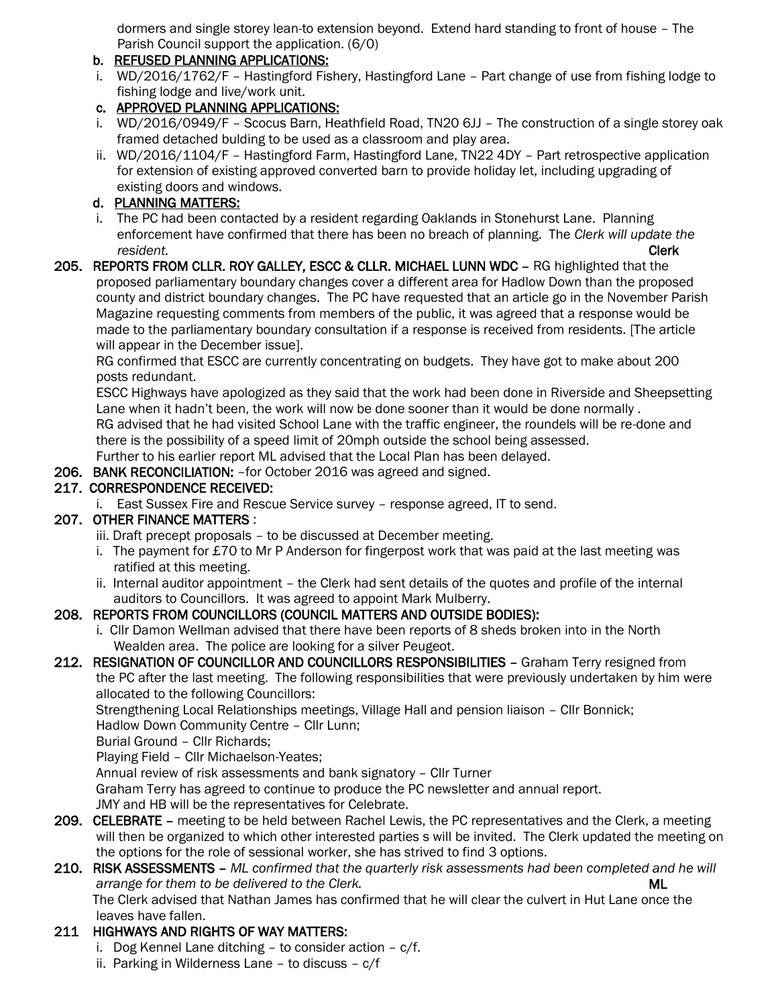dormers and single storey lean-to extension beyond. Extend hard standing to front of house – The Parish Council support the application. (6/0)

#### b. REFUSED PLANNING APPLICATIONS:

 i. WD/2016/1762/F – Hastingford Fishery, Hastingford Lane – Part change of use from fishing lodge to fishing lodge and live/work unit.

### c. APPROVED PLANNING APPLICATIONS:

- i. WD/2016/0949/F Scocus Barn, Heathfield Road, TN20 6JJ The construction of a single storey oak framed detached bulding to be used as a classroom and play area.
- ii. WD/2016/1104/F Hastingford Farm, Hastingford Lane, TN22 4DY Part retrospective application for extension of existing approved converted barn to provide holiday let, including upgrading of existing doors and windows.

### d. PLANNING MATTERS:

 i. The PC had been contacted by a resident regarding Oaklands in Stonehurst Lane. Planning enforcement have confirmed that there has been no breach of planning. The *Clerk will update the resident.* Clerk

205. REPORTS FROM CLLR. ROY GALLEY, ESCC & CLLR. MICHAEL LUNN WDC – RG highlighted that the proposed parliamentary boundary changes cover a different area for Hadlow Down than the proposed county and district boundary changes. The PC have requested that an article go in the November Parish Magazine requesting comments from members of the public, it was agreed that a response would be made to the parliamentary boundary consultation if a response is received from residents. [The article will appear in the December issue].

 RG confirmed that ESCC are currently concentrating on budgets. They have got to make about 200 posts redundant.

 ESCC Highways have apologized as they said that the work had been done in Riverside and Sheepsetting Lane when it hadn't been, the work will now be done sooner than it would be done normally.

 RG advised that he had visited School Lane with the traffic engineer, the roundels will be re-done and there is the possibility of a speed limit of 20mph outside the school being assessed.

Further to his earlier report ML advised that the Local Plan has been delayed.

206. BANK RECONCILIATION: –for October 2016 was agreed and signed.

## 217. CORRESPONDENCE RECEIVED:

i. East Sussex Fire and Rescue Service survey – response agreed, IT to send.

### 207. OTHER FINANCE MATTERS :

- iii. Draft precept proposals to be discussed at December meeting.
- i. The payment for £70 to Mr P Anderson for fingerpost work that was paid at the last meeting was ratified at this meeting.
- ii. Internal auditor appointment the Clerk had sent details of the quotes and profile of the internal auditors to Councillors. It was agreed to appoint Mark Mulberry.

## 208. REPORTS FROM COUNCILLORS (COUNCIL MATTERS AND OUTSIDE BODIES):

 i. Cllr Damon Wellman advised that there have been reports of 8 sheds broken into in the North Wealden area. The police are looking for a silver Peugeot.

### 212. RESIGNATION OF COUNCILLOR AND COUNCILLORS RESPONSIBILITIES – Graham Terry resigned from the PC after the last meeting. The following responsibilities that were previously undertaken by him were

allocated to the following Councillors:

 Strengthening Local Relationships meetings, Village Hall and pension liaison – Cllr Bonnick; Hadlow Down Community Centre – Cllr Lunn;

Burial Ground – Cllr Richards;

Playing Field – Cllr Michaelson-Yeates;

Annual review of risk assessments and bank signatory – Cllr Turner

Graham Terry has agreed to continue to produce the PC newsletter and annual report.

JMY and HB will be the representatives for Celebrate.

209. CELEBRATE – meeting to be held between Rachel Lewis, the PC representatives and the Clerk, a meeting will then be organized to which other interested parties s will be invited. The Clerk updated the meeting on the options for the role of sessional worker, she has strived to find 3 options.

#### 210. RISK ASSESSMENTS – *ML confirmed that the quarterly risk assessments had been completed and he will arrange for them to be delivered to the Clerk.* ML

 The Clerk advised that Nathan James has confirmed that he will clear the culvert in Hut Lane once the leaves have fallen.

# 211 HIGHWAYS AND RIGHTS OF WAY MATTERS:

- i. Dog Kennel Lane ditching to consider action c/f.
- ii. Parking in Wilderness Lane to discuss c/f